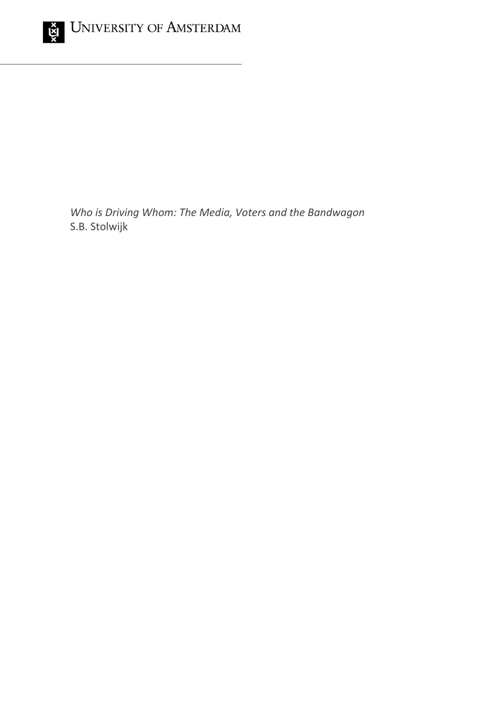

*Who is Driving Whom: The Media, Voters and the Bandwagon* S.B. Stolwijk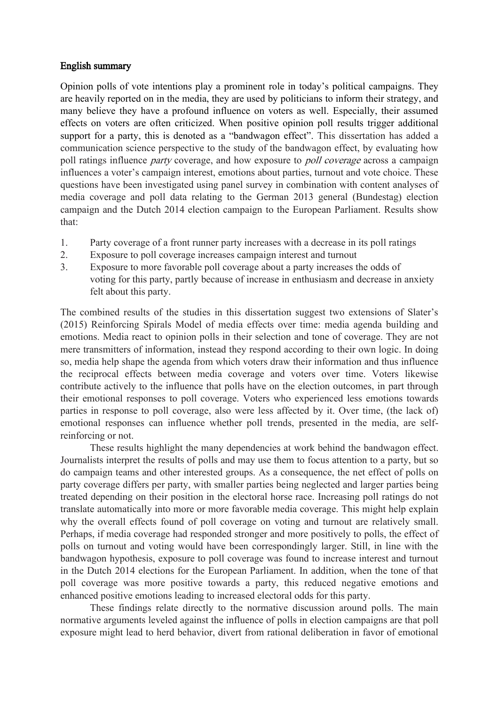## English summary

Opinion polls of vote intentions play a prominent role in today's political campaigns. They are heavily reported on in the media, they are used by politicians to inform their strategy, and many believe they have a profound influence on voters as well. Especially, their assumed effects on voters are often criticized. When positive opinion poll results trigger additional support for a party, this is denoted as a "bandwagon effect". This dissertation has added a communication science perspective to the study of the bandwagon effect, by evaluating how poll ratings influence *party* coverage, and how exposure to *poll coverage* across a campaign influences a voter's campaign interest, emotions about parties, turnout and vote choice. These questions have been investigated using panel survey in combination with content analyses of media coverage and poll data relating to the German 2013 general (Bundestag) election campaign and the Dutch 2014 election campaign to the European Parliament. Results show that:

- 1. Party coverage of a front runner party increases with a decrease in its poll ratings
- 2. Exposure to poll coverage increases campaign interest and turnout
- 3. Exposure to more favorable poll coverage about a party increases the odds of voting for this party, partly because of increase in enthusiasm and decrease in anxiety felt about this party.

The combined results of the studies in this dissertation suggest two extensions of Slater's (2015) Reinforcing Spirals Model of media effects over time: media agenda building and emotions. Media react to opinion polls in their selection and tone of coverage. They are not mere transmitters of information, instead they respond according to their own logic. In doing so, media help shape the agenda from which voters draw their information and thus influence the reciprocal effects between media coverage and voters over time. Voters likewise contribute actively to the influence that polls have on the election outcomes, in part through their emotional responses to poll coverage. Voters who experienced less emotions towards parties in response to poll coverage, also were less affected by it. Over time, (the lack of) emotional responses can influence whether poll trends, presented in the media, are selfreinforcing or not.

These results highlight the many dependencies at work behind the bandwagon effect. Journalists interpret the results of polls and may use them to focus attention to a party, but so do campaign teams and other interested groups. As a consequence, the net effect of polls on party coverage differs per party, with smaller parties being neglected and larger parties being treated depending on their position in the electoral horse race. Increasing poll ratings do not translate automatically into more or more favorable media coverage. This might help explain why the overall effects found of poll coverage on voting and turnout are relatively small. Perhaps, if media coverage had responded stronger and more positively to polls, the effect of polls on turnout and voting would have been correspondingly larger. Still, in line with the bandwagon hypothesis, exposure to poll coverage was found to increase interest and turnout in the Dutch 2014 elections for the European Parliament. In addition, when the tone of that poll coverage was more positive towards a party, this reduced negative emotions and enhanced positive emotions leading to increased electoral odds for this party.

These findings relate directly to the normative discussion around polls. The main normative arguments leveled against the influence of polls in election campaigns are that poll exposure might lead to herd behavior, divert from rational deliberation in favor of emotional